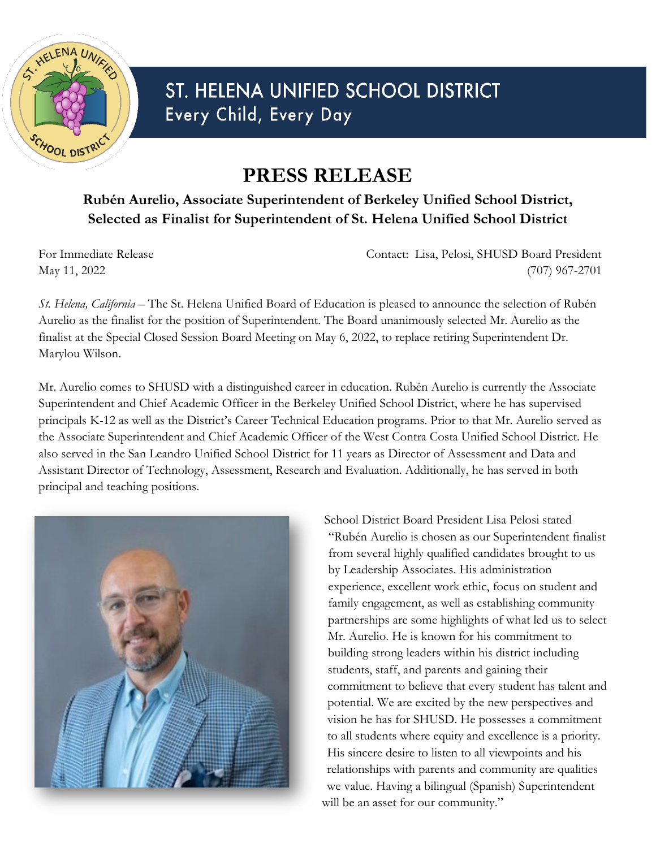

## ST. HELENA UNIFIED SCHOOL DISTRICT Every Child, Every Day

## **PRESS RELEASE**

## **Rubén Aurelio, Associate Superintendent of Berkeley Unified School District, Selected as Finalist for Superintendent of St. Helena Unified School District**

For Immediate Release Contact: Lisa, Pelosi, SHUSD Board President May 11, 2022 (707) 967-2701

*St. Helena, California* – The St. Helena Unified Board of Education is pleased to announce the selection of Rubén Aurelio as the finalist for the position of Superintendent. The Board unanimously selected Mr. Aurelio as the finalist at the Special Closed Session Board Meeting on May 6, 2022, to replace retiring Superintendent Dr. Marylou Wilson.

Mr. Aurelio comes to SHUSD with a distinguished career in education. Rubén Aurelio is currently the Associate Superintendent and Chief Academic Officer in the Berkeley Unified School District, where he has supervised principals K-12 as well as the District's Career Technical Education programs. Prior to that Mr. Aurelio served as the Associate Superintendent and Chief Academic Officer of the West Contra Costa Unified School District. He also served in the San Leandro Unified School District for 11 years as Director of Assessment and Data and Assistant Director of Technology, Assessment, Research and Evaluation. Additionally, he has served in both principal and teaching positions.



School District Board President Lisa Pelosi stated "Rubén Aurelio is chosen as our Superintendent finalist from several highly qualified candidates brought to us by Leadership Associates. His administration experience, excellent work ethic, focus on student and family engagement, as well as establishing community partnerships are some highlights of what led us to select Mr. Aurelio. He is known for his commitment to building strong leaders within his district including students, staff, and parents and gaining their commitment to believe that every student has talent and potential. We are excited by the new perspectives and vision he has for SHUSD. He possesses a commitment to all students where equity and excellence is a priority. His sincere desire to listen to all viewpoints and his relationships with parents and community are qualities we value. Having a bilingual (Spanish) Superintendent will be an asset for our community."